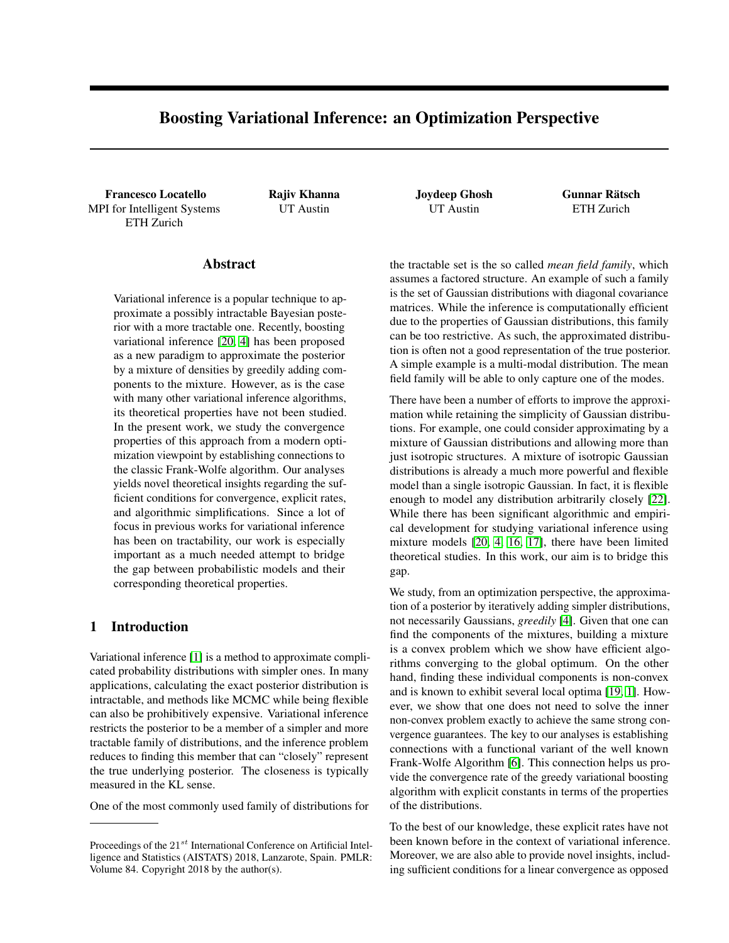# Boosting Variational Inference: an Optimization Perspective

Francesco Locatello Rajiv Khanna Joydeep Ghosh Gunnar Rätsch MPI for Intelligent Systems ETH Zurich

#### Abstract

Variational inference is a popular technique to approximate a possibly intractable Bayesian posterior with a more tractable one. Recently, boosting variational inference [\[20,](#page-8-0) [4\]](#page-8-1) has been proposed as a new paradigm to approximate the posterior by a mixture of densities by greedily adding components to the mixture. However, as is the case with many other variational inference algorithms, its theoretical properties have not been studied. In the present work, we study the convergence properties of this approach from a modern optimization viewpoint by establishing connections to the classic Frank-Wolfe algorithm. Our analyses yields novel theoretical insights regarding the sufficient conditions for convergence, explicit rates, and algorithmic simplifications. Since a lot of focus in previous works for variational inference has been on tractability, our work is especially important as a much needed attempt to bridge the gap between probabilistic models and their corresponding theoretical properties.

## 1 Introduction

Variational inference [\[1\]](#page-8-2) is a method to approximate complicated probability distributions with simpler ones. In many applications, calculating the exact posterior distribution is intractable, and methods like MCMC while being flexible can also be prohibitively expensive. Variational inference restricts the posterior to be a member of a simpler and more tractable family of distributions, and the inference problem reduces to finding this member that can "closely" represent the true underlying posterior. The closeness is typically measured in the KL sense.

One of the most commonly used family of distributions for

UT Austin UT Austin ETH Zurich

the tractable set is the so called *mean field family*, which assumes a factored structure. An example of such a family is the set of Gaussian distributions with diagonal covariance matrices. While the inference is computationally efficient due to the properties of Gaussian distributions, this family can be too restrictive. As such, the approximated distribution is often not a good representation of the true posterior. A simple example is a multi-modal distribution. The mean field family will be able to only capture one of the modes.

There have been a number of efforts to improve the approximation while retaining the simplicity of Gaussian distributions. For example, one could consider approximating by a mixture of Gaussian distributions and allowing more than just isotropic structures. A mixture of isotropic Gaussian distributions is already a much more powerful and flexible model than a single isotropic Gaussian. In fact, it is flexible enough to model any distribution arbitrarily closely [\[22\]](#page-8-3). While there has been significant algorithmic and empirical development for studying variational inference using mixture models [\[20,](#page-8-0) [4,](#page-8-1) [16,](#page-8-4) [17\]](#page-8-5), there have been limited theoretical studies. In this work, our aim is to bridge this gap.

We study, from an optimization perspective, the approximation of a posterior by iteratively adding simpler distributions, not necessarily Gaussians, *greedily* [\[4\]](#page-8-1). Given that one can find the components of the mixtures, building a mixture is a convex problem which we show have efficient algorithms converging to the global optimum. On the other hand, finding these individual components is non-convex and is known to exhibit several local optima [\[19,](#page-8-6) [1\]](#page-8-2). However, we show that one does not need to solve the inner non-convex problem exactly to achieve the same strong convergence guarantees. The key to our analyses is establishing connections with a functional variant of the well known Frank-Wolfe Algorithm [\[6\]](#page-8-7). This connection helps us provide the convergence rate of the greedy variational boosting algorithm with explicit constants in terms of the properties of the distributions.

To the best of our knowledge, these explicit rates have not been known before in the context of variational inference. Moreover, we are also able to provide novel insights, including sufficient conditions for a linear convergence as opposed

Proceedings of the  $21^{st}$  International Conference on Artificial Intelligence and Statistics (AISTATS) 2018, Lanzarote, Spain. PMLR: Volume 84. Copyright 2018 by the author(s).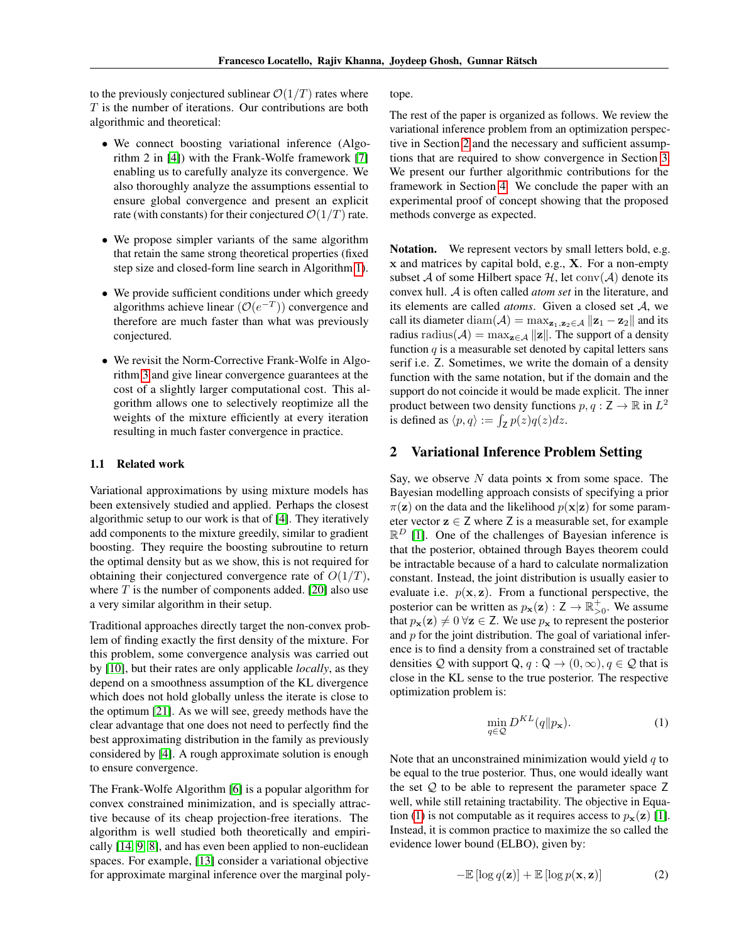to the previously conjectured sublinear  $\mathcal{O}(1/T)$  rates where  $T$  is the number of iterations. Our contributions are both algorithmic and theoretical:

- We connect boosting variational inference (Algorithm 2 in [\[4\]](#page-8-1)) with the Frank-Wolfe framework [\[7\]](#page-8-8) enabling us to carefully analyze its convergence. We also thoroughly analyze the assumptions essential to ensure global convergence and present an explicit rate (with constants) for their conjectured  $\mathcal{O}(1/T)$  rate.
- We propose simpler variants of the same algorithm that retain the same strong theoretical properties (fixed step size and closed-form line search in Algorithm [1\)](#page-3-0).
- We provide sufficient conditions under which greedy algorithms achieve linear  $(\mathcal{O}(e^{-T}))$  convergence and therefore are much faster than what was previously conjectured.
- We revisit the Norm-Corrective Frank-Wolfe in Algorithm [3](#page-5-0) and give linear convergence guarantees at the cost of a slightly larger computational cost. This algorithm allows one to selectively reoptimize all the weights of the mixture efficiently at every iteration resulting in much faster convergence in practice.

#### 1.1 Related work

Variational approximations by using mixture models has been extensively studied and applied. Perhaps the closest algorithmic setup to our work is that of [\[4\]](#page-8-1). They iteratively add components to the mixture greedily, similar to gradient boosting. They require the boosting subroutine to return the optimal density but as we show, this is not required for obtaining their conjectured convergence rate of  $O(1/T)$ , where  $T$  is the number of components added. [\[20\]](#page-8-0) also use a very similar algorithm in their setup.

Traditional approaches directly target the non-convex problem of finding exactly the first density of the mixture. For this problem, some convergence analysis was carried out by [\[10\]](#page-8-9), but their rates are only applicable *locally*, as they depend on a smoothness assumption of the KL divergence which does not hold globally unless the iterate is close to the optimum [\[21\]](#page-8-10). As we will see, greedy methods have the clear advantage that one does not need to perfectly find the best approximating distribution in the family as previously considered by [\[4\]](#page-8-1). A rough approximate solution is enough to ensure convergence.

The Frank-Wolfe Algorithm [\[6\]](#page-8-7) is a popular algorithm for convex constrained minimization, and is specially attractive because of its cheap projection-free iterations. The algorithm is well studied both theoretically and empirically [\[14,](#page-8-11) [9,](#page-8-12) [8\]](#page-8-13), and has even been applied to non-euclidean spaces. For example, [\[13\]](#page-8-14) consider a variational objective for approximate marginal inference over the marginal polytope.

The rest of the paper is organized as follows. We review the variational inference problem from an optimization perspective in Section [2](#page-1-0) and the necessary and sufficient assumptions that are required to show convergence in Section [3.](#page-2-0) We present our further algorithmic contributions for the framework in Section [4.](#page-3-1) We conclude the paper with an experimental proof of concept showing that the proposed methods converge as expected.

Notation. We represent vectors by small letters bold, e.g. x and matrices by capital bold, e.g., X. For a non-empty subset A of some Hilbert space  $H$ , let conv $(A)$  denote its convex hull. A is often called *atom set* in the literature, and its elements are called *atoms*. Given a closed set A, we call its diameter diam( $A$ ) = max $_{z_1,z_2\in A}$  || $z_1 - z_2$ || and its radius radius( $\mathcal{A}$ ) = max<sub>z∈A</sub> ||z||. The support of a density function  $q$  is a measurable set denoted by capital letters sans serif i.e. Z. Sometimes, we write the domain of a density function with the same notation, but if the domain and the support do not coincide it would be made explicit. The inner product between two density functions  $p, q : \mathsf{Z} \to \mathbb{R}$  in  $L^2$ is defined as  $\langle p, q \rangle := \int_Z p(z) q(z) dz$ .

#### <span id="page-1-0"></span>2 Variational Inference Problem Setting

Say, we observe  $N$  data points  $x$  from some space. The Bayesian modelling approach consists of specifying a prior  $\pi(z)$  on the data and the likelihood  $p(x|z)$  for some parameter vector  $z \in Z$  where Z is a measurable set, for example  $\mathbb{R}^D$  [\[1\]](#page-8-2). One of the challenges of Bayesian inference is that the posterior, obtained through Bayes theorem could be intractable because of a hard to calculate normalization constant. Instead, the joint distribution is usually easier to evaluate i.e.  $p(x, z)$ . From a functional perspective, the posterior can be written as  $p_{\mathbf{x}}(\mathbf{z}) : \mathsf{Z} \to \mathbb{R}_{>0}^+$ . We assume that  $p_{\mathbf{x}}(\mathbf{z}) \neq 0$   $\forall \mathbf{z} \in \mathsf{Z}$ . We use  $p_{\mathbf{x}}$  to represent the posterior and  $p$  for the joint distribution. The goal of variational inference is to find a density from a constrained set of tractable densities Q with support Q,  $q : Q \to (0, \infty), q \in Q$  that is close in the KL sense to the true posterior. The respective optimization problem is:

<span id="page-1-1"></span>
$$
\min_{q \in \mathcal{Q}} D^{KL}(q \| p_{\mathbf{x}}). \tag{1}
$$

Note that an unconstrained minimization would yield  $q$  to be equal to the true posterior. Thus, one would ideally want the set  $Q$  to be able to represent the parameter space  $Z$ well, while still retaining tractability. The objective in Equa-tion [\(1\)](#page-1-1) is not computable as it requires access to  $p_{\mathbf{x}}(\mathbf{z})$  [\[1\]](#page-8-2). Instead, it is common practice to maximize the so called the evidence lower bound (ELBO), given by:

$$
-\mathbb{E}\left[\log q(\mathbf{z})\right] + \mathbb{E}\left[\log p(\mathbf{x}, \mathbf{z})\right]
$$
 (2)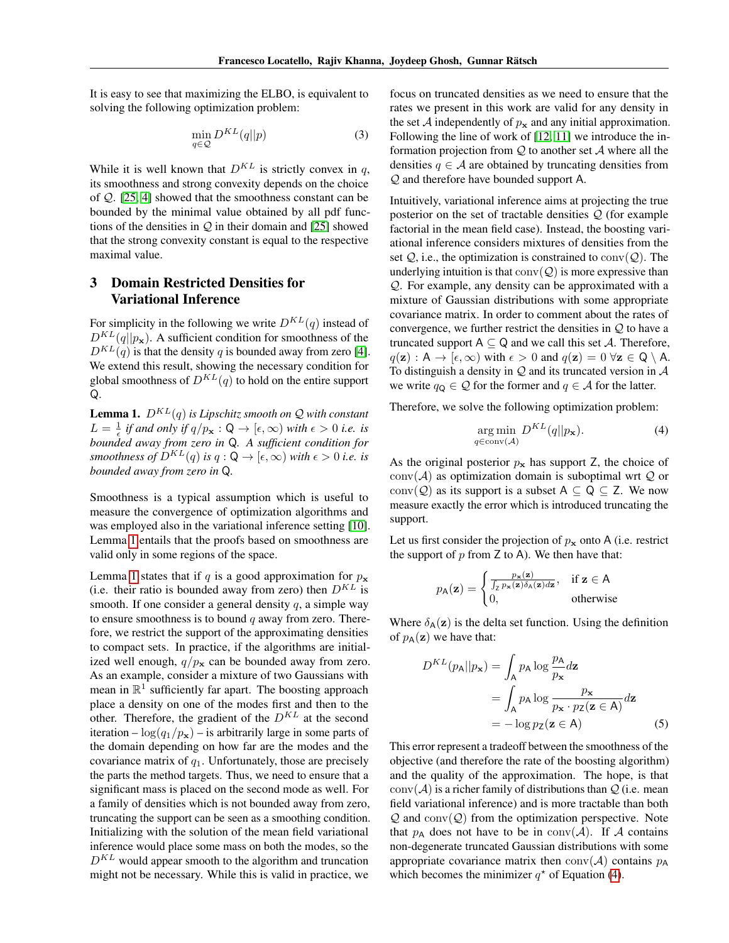It is easy to see that maximizing the ELBO, is equivalent to solving the following optimization problem:

$$
\min_{q \in \mathcal{Q}} D^{KL}(q||p) \tag{3}
$$

While it is well known that  $D^{KL}$  is strictly convex in q, its smoothness and strong convexity depends on the choice of Q. [\[25,](#page-8-15) [4\]](#page-8-1) showed that the smoothness constant can be bounded by the minimal value obtained by all pdf functions of the densities in  $Q$  in their domain and [\[25\]](#page-8-15) showed that the strong convexity constant is equal to the respective maximal value.

# <span id="page-2-0"></span>3 Domain Restricted Densities for Variational Inference

For simplicity in the following we write  $D^{KL}(q)$  instead of  $D^{KL}(q||p_{\mathbf{x}})$ . A sufficient condition for smoothness of the  $D^{KL}(q)$  is that the density q is bounded away from zero [\[4\]](#page-8-1). We extend this result, showing the necessary condition for global smoothness of  $D^{KL}(q)$  to hold on the entire support Q.

<span id="page-2-1"></span>**Lemma 1.**  $D^{KL}(q)$  *is Lipschitz smooth on*  $Q$  *with constant*  $L = \frac{1}{\epsilon}$  *if and only if*  $q/p_x : \mathsf{Q} \to [\epsilon, \infty)$  *with*  $\epsilon > 0$  *i.e. is bounded away from zero in* Q*. A sufficient condition for smoothness of*  $D^{KL}(q)$  *is*  $q: \mathsf{Q} \to [\epsilon, \infty)$  *with*  $\epsilon > 0$  *i.e. is bounded away from zero in* Q*.*

Smoothness is a typical assumption which is useful to measure the convergence of optimization algorithms and was employed also in the variational inference setting [\[10\]](#page-8-9). Lemma [1](#page-2-1) entails that the proofs based on smoothness are valid only in some regions of the space.

Lemma [1](#page-2-1) states that if q is a good approximation for  $p_x$ (i.e. their ratio is bounded away from zero) then  $D^{KL}$  is smooth. If one consider a general density  $q$ , a simple way to ensure smoothness is to bound  $q$  away from zero. Therefore, we restrict the support of the approximating densities to compact sets. In practice, if the algorithms are initialized well enough,  $q/p_x$  can be bounded away from zero. As an example, consider a mixture of two Gaussians with mean in  $\mathbb{R}^1$  sufficiently far apart. The boosting approach place a density on one of the modes first and then to the other. Therefore, the gradient of the  $D^{KL}$  at the second iteration –  $\log(q_1/p_x)$  – is arbitrarily large in some parts of the domain depending on how far are the modes and the covariance matrix of  $q_1$ . Unfortunately, those are precisely the parts the method targets. Thus, we need to ensure that a significant mass is placed on the second mode as well. For a family of densities which is not bounded away from zero, truncating the support can be seen as a smoothing condition. Initializing with the solution of the mean field variational inference would place some mass on both the modes, so the  $D^{KL}$  would appear smooth to the algorithm and truncation might not be necessary. While this is valid in practice, we

focus on truncated densities as we need to ensure that the rates we present in this work are valid for any density in the set A independently of  $p_x$  and any initial approximation. Following the line of work of [\[12,](#page-8-16) [11\]](#page-8-17) we introduce the information projection from  $Q$  to another set  $A$  where all the densities  $q \in A$  are obtained by truncating densities from Q and therefore have bounded support A.

Intuitively, variational inference aims at projecting the true posterior on the set of tractable densities  $Q$  (for example factorial in the mean field case). Instead, the boosting variational inference considers mixtures of densities from the set  $Q_i$ , i.e., the optimization is constrained to conv $(Q)$ . The underlying intuition is that  $conv(Q)$  is more expressive than Q. For example, any density can be approximated with a mixture of Gaussian distributions with some appropriate covariance matrix. In order to comment about the rates of convergence, we further restrict the densities in  $Q$  to have a truncated support  $A \subseteq Q$  and we call this set A. Therefore,  $q(\mathbf{z}) : A \to [\epsilon, \infty)$  with  $\epsilon > 0$  and  $q(\mathbf{z}) = 0 \ \forall \mathbf{z} \in \mathbb{Q} \setminus A$ . To distinguish a density in  $Q$  and its truncated version in  $A$ we write  $q_{\mathsf{Q}} \in \mathcal{Q}$  for the former and  $q \in \mathcal{A}$  for the latter.

Therefore, we solve the following optimization problem:

<span id="page-2-2"></span>
$$
\underset{q \in \text{conv}(\mathcal{A})}{\arg \min} \ D^{KL}(q||p_{\mathbf{x}}). \tag{4}
$$

As the original posterior  $p_x$  has support Z, the choice of  $conv(\mathcal{A})$  as optimization domain is suboptimal wrt  $\mathcal Q$  or conv( $Q$ ) as its support is a subset  $A \subseteq Q \subseteq Z$ . We now measure exactly the error which is introduced truncating the support.

Let us first consider the projection of  $p_x$  onto A (i.e. restrict the support of  $p$  from  $Z$  to  $A$ ). We then have that:

$$
p_{\mathsf{A}}(\mathbf{z}) = \begin{cases} \frac{p_{\mathbf{x}}(\mathbf{z})}{\int_{\mathsf{Z}} p_{\mathbf{x}}(\mathbf{z}) \delta_{\mathsf{A}}(\mathbf{z}) d\mathbf{z}}, & \text{if } \mathbf{z} \in \mathsf{A} \\ 0, & \text{otherwise} \end{cases}
$$

Where  $\delta_{A}(z)$  is the delta set function. Using the definition of  $p_{\mathbf{A}}(\mathbf{z})$  we have that:

<span id="page-2-3"></span>
$$
D^{KL}(p_{A}||p_{\mathbf{x}}) = \int_{A} p_{A} \log \frac{p_{A}}{p_{\mathbf{x}}} d\mathbf{z}
$$
  
= 
$$
\int_{A} p_{A} \log \frac{p_{\mathbf{x}}}{p_{\mathbf{x}} \cdot p_{\mathbf{Z}} (\mathbf{z} \in A)} d\mathbf{z}
$$
  
= 
$$
-\log p_{\mathbf{Z}} (\mathbf{z} \in A)
$$
 (5)

This error represent a tradeoff between the smoothness of the objective (and therefore the rate of the boosting algorithm) and the quality of the approximation. The hope, is that  $conv(\mathcal{A})$  is a richer family of distributions than  $\mathcal{Q}$  (i.e. mean field variational inference) and is more tractable than both  $Q$  and  $conv(Q)$  from the optimization perspective. Note that  $p_A$  does not have to be in conv $(A)$ . If A contains non-degenerate truncated Gaussian distributions with some appropriate covariance matrix then  $conv(A)$  contains  $p_A$ which becomes the minimizer  $q^*$  of Equation [\(4\)](#page-2-2).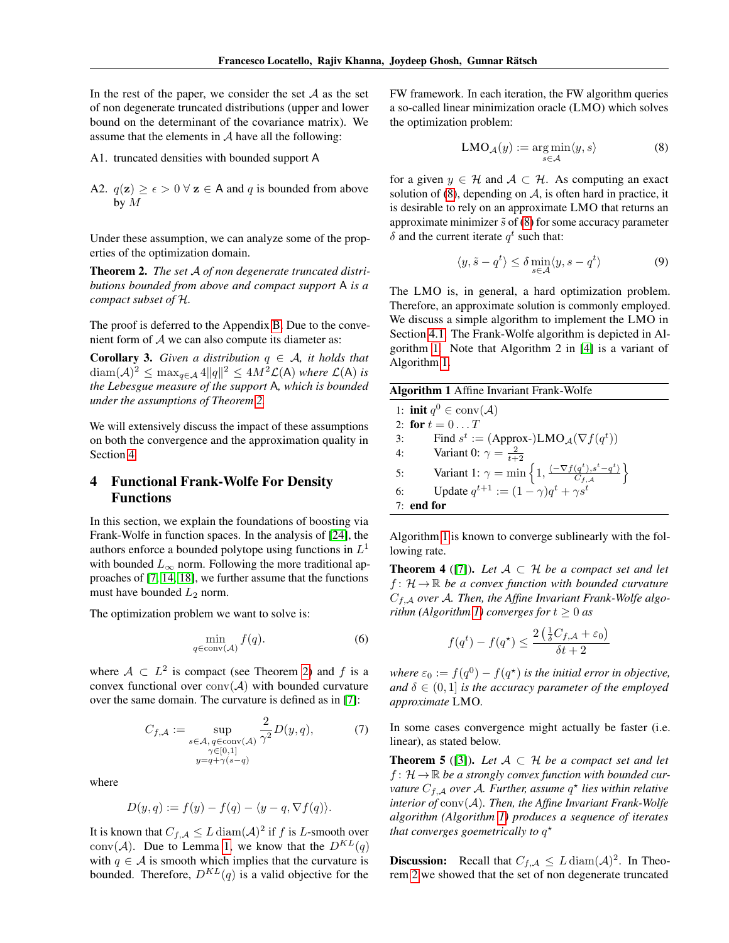In the rest of the paper, we consider the set  $A$  as the set of non degenerate truncated distributions (upper and lower bound on the determinant of the covariance matrix). We assume that the elements in  $A$  have all the following:

- A1. truncated densities with bounded support A
- A2.  $q(\mathbf{z}) \geq \epsilon > 0 \ \forall \ \mathbf{z} \in A$  and q is bounded from above by M

Under these assumption, we can analyze some of the properties of the optimization domain.

<span id="page-3-2"></span>Theorem 2. *The set* A *of non degenerate truncated distributions bounded from above and compact support* A *is a compact subset of* H*.*

The proof is deferred to the Appendix [B.](#page-9-0) Due to the convenient form of  $A$  we can also compute its diameter as:

**Corollary 3.** *Given a distribution*  $q \in A$ *, it holds that*  $\text{diam}(\mathcal{A})^2 \leq \max_{q \in \mathcal{A}} 4\|q\|^2 \leq 4M^2\mathcal{L}(\mathsf{A})$  *where*  $\mathcal{L}(\mathsf{A})$  *is the Lebesgue measure of the support* A*, which is bounded under the assumptions of Theorem [2.](#page-3-2)*

We will extensively discuss the impact of these assumptions on both the convergence and the approximation quality in Section [4.](#page-3-1)

# <span id="page-3-1"></span>4 Functional Frank-Wolfe For Density Functions

In this section, we explain the foundations of boosting via Frank-Wolfe in function spaces. In the analysis of [\[24\]](#page-8-18), the authors enforce a bounded polytope using functions in  $L^1$ with bounded  $L_{\infty}$  norm. Following the more traditional approaches of [\[7,](#page-8-8) [14,](#page-8-11) [18\]](#page-8-19), we further assume that the functions must have bounded  $L_2$  norm.

The optimization problem we want to solve is:

$$
\min_{q \in \text{conv}(\mathcal{A})} f(q). \tag{6}
$$

where  $A \subset L^2$  is compact (see Theorem [2\)](#page-3-2) and f is a convex functional over  $conv(\mathcal{A})$  with bounded curvature over the same domain. The curvature is defined as in [\[7\]](#page-8-8):

$$
C_{f,\mathcal{A}} := \sup_{\substack{s \in \mathcal{A}, q \in \text{conv}(\mathcal{A}) \\ \gamma \in [0,1] \\ y = q + \gamma(s - q)}} \frac{2}{\gamma^2} D(y, q), \tag{7}
$$

where

$$
D(y, q) := f(y) - f(q) - \langle y - q, \nabla f(q) \rangle.
$$

It is known that  $C_{f,\mathcal{A}} \leq L \operatorname{diam}(\mathcal{A})^2$  if f is L-smooth over conv(A). Due to Lemma [1,](#page-2-1) we know that the  $D^{KL}(q)$ with  $q \in A$  is smooth which implies that the curvature is bounded. Therefore,  $D^{KL}(q)$  is a valid objective for the

FW framework. In each iteration, the FW algorithm queries a so-called linear minimization oracle (LMO) which solves the optimization problem:

<span id="page-3-3"></span>
$$
\text{LMO}_{\mathcal{A}}(y) := \underset{s \in \mathcal{A}}{\arg \min} \langle y, s \rangle \tag{8}
$$

for a given  $y \in \mathcal{H}$  and  $\mathcal{A} \subset \mathcal{H}$ . As computing an exact solution of  $(8)$ , depending on  $A$ , is often hard in practice, it is desirable to rely on an approximate LMO that returns an approximate minimizer  $\tilde{s}$  of [\(8\)](#page-3-3) for some accuracy parameter  $\delta$  and the current iterate  $q^t$  such that:

$$
\langle y, \tilde{s} - q^t \rangle \le \delta \min_{s \in \mathcal{A}} \langle y, s - q^t \rangle \tag{9}
$$

The LMO is, in general, a hard optimization problem. Therefore, an approximate solution is commonly employed. We discuss a simple algorithm to implement the LMO in Section [4.1.](#page-4-0) The Frank-Wolfe algorithm is depicted in Algorithm [1.](#page-3-0) Note that Algorithm 2 in [\[4\]](#page-8-1) is a variant of Algorithm [1.](#page-3-0)

<span id="page-3-0"></span>

| <b>Algorithm 1</b> Affine Invariant Frank-Wolfe |                                                                                                                     |  |  |
|-------------------------------------------------|---------------------------------------------------------------------------------------------------------------------|--|--|
|                                                 | 1: <b>init</b> $q^0 \in \text{conv}(\mathcal{A})$                                                                   |  |  |
|                                                 | 2: for $t = 0T$                                                                                                     |  |  |
| 3:                                              | Find $s^t := (Approx-)LMO_A(\nabla f(q^t))$                                                                         |  |  |
| 4:                                              | Variant 0: $\gamma = \frac{2}{t+2}$                                                                                 |  |  |
| 5:                                              | Variant 1: $\gamma = \min \left\{ 1, \frac{\langle -\nabla f(q^t), s^t - q^t \rangle}{C_{f, \mathcal{A}}} \right\}$ |  |  |
| 6:                                              | Update $q^{t+1} := (1 - \gamma)q^t + \gamma s^t$                                                                    |  |  |
|                                                 | $7:$ end for                                                                                                        |  |  |

Algorithm [1](#page-3-0) is known to converge sublinearly with the following rate.

<span id="page-3-5"></span>**Theorem 4** ([\[7\]](#page-8-8)). Let  $A \subset H$  be a compact set and let  $f: \mathcal{H} \to \mathbb{R}$  *be a convex function with bounded curvature* Cf,<sup>A</sup> *over* A*. Then, the Affine Invariant Frank-Wolfe algo-rithm (Algorithm [1\)](#page-3-0) converges for*  $t \geq 0$  *as* 

$$
f(q^t) - f(q^*) \le \frac{2\left(\frac{1}{\delta}C_{f,\mathcal{A}} + \varepsilon_0\right)}{\delta t + 2}
$$

where  $\varepsilon_0 := f(q^0) - f(q^{\star})$  is the initial error in objective, *and*  $\delta \in (0, 1]$  *is the accuracy parameter of the employed approximate* LMO*.*

In some cases convergence might actually be faster (i.e. linear), as stated below.

<span id="page-3-4"></span>**Theorem 5** ([\[3\]](#page-8-20)). Let  $A \subset H$  be a compact set and let  $f: \mathcal{H} \to \mathbb{R}$  be a strongly convex function with bounded curvature  $C_{f, \mathcal{A}}$  *over A. Further, assume*  $q^*$  *lies within relative interior of* conv(A)*. Then, the Affine Invariant Frank-Wolfe algorithm (Algorithm [1\)](#page-3-0) produces a sequence of iterates* that converges goemetrically to  $q^{\star}$ 

**Discussion:** Recall that  $C_{f,A} \leq L \operatorname{diam}(\mathcal{A})^2$ . In Theorem [2](#page-3-2) we showed that the set of non degenerate truncated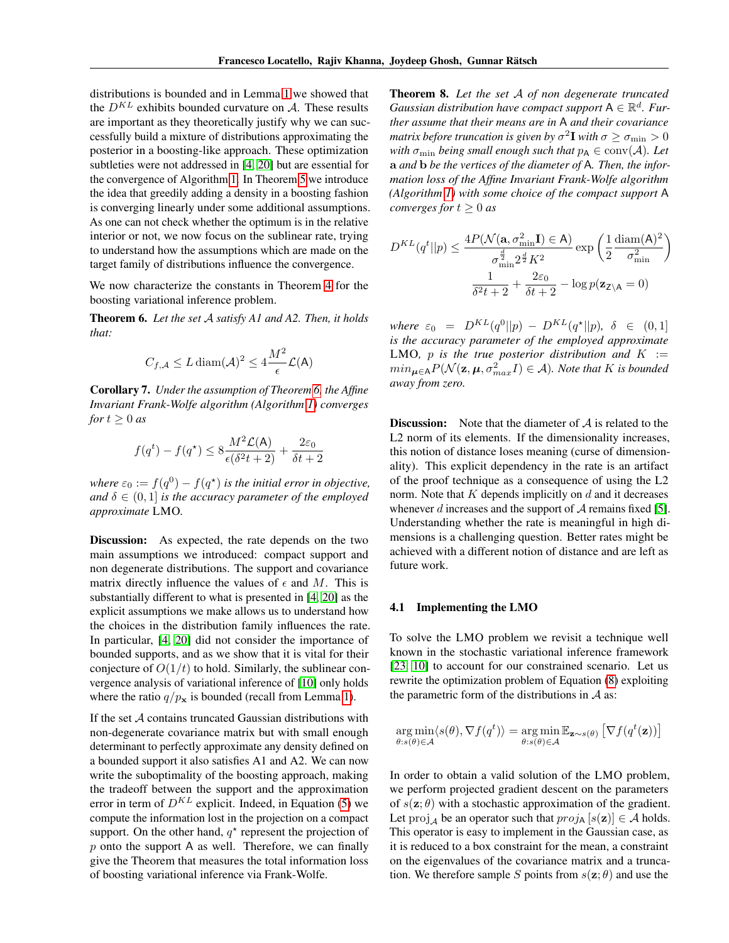distributions is bounded and in Lemma [1](#page-2-1) we showed that the  $D^{KL}$  exhibits bounded curvature on A. These results are important as they theoretically justify why we can successfully build a mixture of distributions approximating the posterior in a boosting-like approach. These optimization subtleties were not addressed in [\[4,](#page-8-1) [20\]](#page-8-0) but are essential for the convergence of Algorithm [1.](#page-3-0) In Theorem [5](#page-3-4) we introduce the idea that greedily adding a density in a boosting fashion is converging linearly under some additional assumptions. As one can not check whether the optimum is in the relative interior or not, we now focus on the sublinear rate, trying to understand how the assumptions which are made on the target family of distributions influence the convergence.

We now characterize the constants in Theorem [4](#page-3-5) for the boosting variational inference problem.

<span id="page-4-1"></span>Theorem 6. *Let the set* A *satisfy A1 and A2. Then, it holds that:*

$$
C_{f,\mathcal{A}} \le L \operatorname{diam}(\mathcal{A})^2 \le 4 \frac{M^2}{\epsilon} \mathcal{L}(\mathsf{A})
$$

Corollary 7. *Under the assumption of Theorem [6,](#page-4-1) the Affine Invariant Frank-Wolfe algorithm (Algorithm [1\)](#page-3-0) converges for*  $t \geq 0$  *as* 

$$
f(q^t) - f(q^\star) \le 8 \frac{M^2 \mathcal{L}(\mathsf{A})}{\epsilon(\delta^2 t + 2)} + \frac{2\varepsilon_0}{\delta t + 2}
$$

where  $\varepsilon_0 := f(q^0) - f(q^\star)$  is the initial error in objective, *and*  $\delta \in (0,1]$  *is the accuracy parameter of the employed approximate* LMO*.*

Discussion: As expected, the rate depends on the two main assumptions we introduced: compact support and non degenerate distributions. The support and covariance matrix directly influence the values of  $\epsilon$  and M. This is substantially different to what is presented in [\[4,](#page-8-1) [20\]](#page-8-0) as the explicit assumptions we make allows us to understand how the choices in the distribution family influences the rate. In particular, [\[4,](#page-8-1) [20\]](#page-8-0) did not consider the importance of bounded supports, and as we show that it is vital for their conjecture of  $O(1/t)$  to hold. Similarly, the sublinear convergence analysis of variational inference of [\[10\]](#page-8-9) only holds where the ratio  $q/p_x$  is bounded (recall from Lemma [1\)](#page-2-1).

<span id="page-4-2"></span>If the set  $A$  contains truncated Gaussian distributions with non-degenerate covariance matrix but with small enough determinant to perfectly approximate any density defined on a bounded support it also satisfies A1 and A2. We can now write the suboptimality of the boosting approach, making the tradeoff between the support and the approximation error in term of  $D^{KL}$  explicit. Indeed, in Equation [\(5\)](#page-2-3) we compute the information lost in the projection on a compact support. On the other hand,  $q^*$  represent the projection of  $p$  onto the support A as well. Therefore, we can finally give the Theorem that measures the total information loss of boosting variational inference via Frank-Wolfe.

Theorem 8. *Let the set* A *of non degenerate truncated Gaussian distribution have compact support*  $A \in \mathbb{R}^d$ . Fur*ther assume that their means are in* A *and their covariance* matrix before truncation is given by  $\sigma^2\mathbf{I}$  with  $\sigma\geq\sigma_{\min}>0$ *with*  $\sigma_{\min}$  *being small enough such that*  $p_A \in \text{conv}(\mathcal{A})$ *. Let* a *and* b *be the vertices of the diameter of* A*. Then, the information loss of the Affine Invariant Frank-Wolfe algorithm (Algorithm [1\)](#page-3-0) with some choice of the compact support* A *converges for*  $t \geq 0$  *as* 

$$
D^{KL}(q^t||p) \le \frac{4P(\mathcal{N}(\mathbf{a}, \sigma_{\min}^2 \mathbf{I}) \in \mathbf{A})}{\sigma_{\min}^{\frac{d}{2}} 2^{\frac{d}{2}} K^2} \exp\left(\frac{1}{2} \frac{\text{diam}(\mathbf{A})^2}{\sigma_{\min}^2}\right)
$$

$$
\frac{1}{\delta^2 t + 2} + \frac{2\varepsilon_0}{\delta t + 2} - \log p(\mathbf{z}_{\mathsf{Z} \setminus \mathbf{A}} = 0)
$$

 $where \varepsilon_0 = D^{KL}(q^0||p) - D^{KL}(q^{\star}||p), \delta \in (0,1]$ *is the accuracy parameter of the employed approximate* LMO, p is the true posterior distribution and  $K :=$  $min_{\boldsymbol{\mu} \in A} P(\mathcal{N}(\mathbf{z}, \boldsymbol{\mu}, \sigma_{max}^2 I) \in \mathcal{A})$ *. Note that* K is bounded *away from zero.*

**Discussion:** Note that the diameter of  $A$  is related to the L2 norm of its elements. If the dimensionality increases, this notion of distance loses meaning (curse of dimensionality). This explicit dependency in the rate is an artifact of the proof technique as a consequence of using the L2 norm. Note that  $K$  depends implicitly on  $d$  and it decreases whenever d increases and the support of  $A$  remains fixed [\[5\]](#page-8-21). Understanding whether the rate is meaningful in high dimensions is a challenging question. Better rates might be achieved with a different notion of distance and are left as future work.

#### <span id="page-4-0"></span>4.1 Implementing the LMO

To solve the LMO problem we revisit a technique well known in the stochastic variational inference framework [\[23,](#page-8-22) [10\]](#page-8-9) to account for our constrained scenario. Let us rewrite the optimization problem of Equation [\(8\)](#page-3-3) exploiting the parametric form of the distributions in  $A$  as:

$$
\underset{\theta:s(\theta)\in\mathcal{A}}{\arg\min}\langle s(\theta),\nabla f(q^t)\rangle = \underset{\theta:s(\theta)\in\mathcal{A}}{\arg\min}\mathbb{E}_{\mathbf{z}\sim s(\theta)}\left[\nabla f(q^t(\mathbf{z}))\right]
$$

In order to obtain a valid solution of the LMO problem, we perform projected gradient descent on the parameters of  $s(\mathbf{z}; \theta)$  with a stochastic approximation of the gradient. Let  $\text{proj}_A$  be an operator such that  $proj_A [s(\mathbf{z})] \in \mathcal{A}$  holds. This operator is easy to implement in the Gaussian case, as it is reduced to a box constraint for the mean, a constraint on the eigenvalues of the covariance matrix and a truncation. We therefore sample S points from  $s(\mathbf{z}; \theta)$  and use the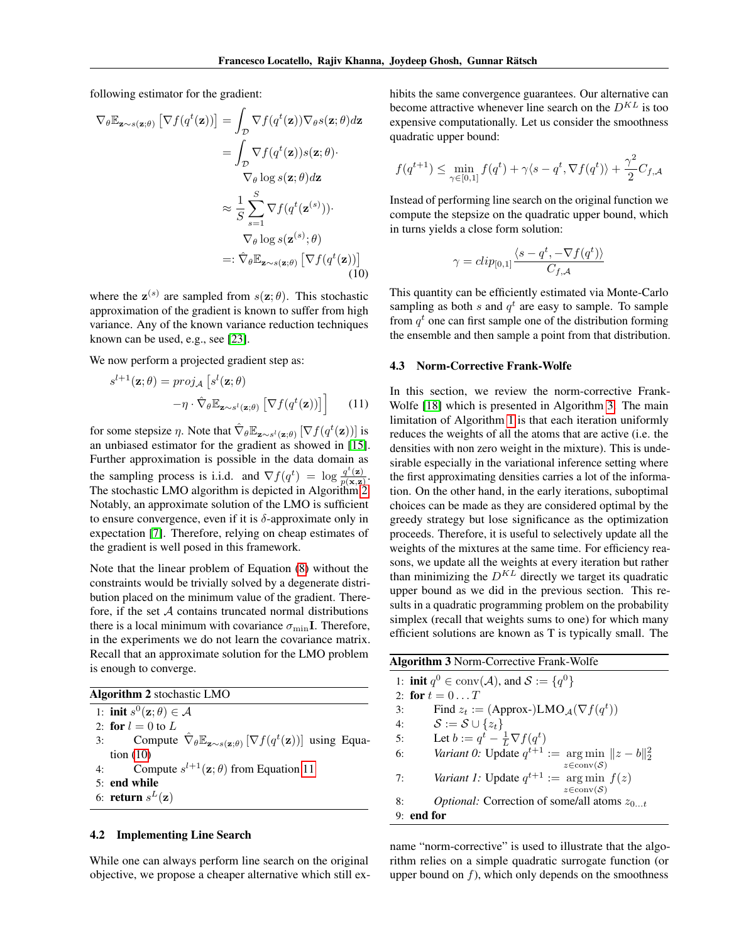following estimator for the gradient:

$$
\nabla_{\theta} \mathbb{E}_{\mathbf{z} \sim s(\mathbf{z};\theta)} \left[ \nabla f(q^t(\mathbf{z})) \right] = \int_{\mathcal{D}} \nabla f(q^t(\mathbf{z})) \nabla_{\theta} s(\mathbf{z};\theta) d\mathbf{z}
$$

$$
= \int_{\mathcal{D}} \nabla f(q^t(\mathbf{z})) s(\mathbf{z};\theta) \cdot \nabla_{\theta} \log s(\mathbf{z};\theta) d\mathbf{z}
$$

$$
\approx \frac{1}{S} \sum_{s=1}^{S} \nabla f(q^t(\mathbf{z}^{(s)})) \cdot \nabla_{\theta} \log s(\mathbf{z}^{(s)};\theta)
$$

$$
=:\hat{\nabla}_{\theta} \mathbb{E}_{\mathbf{z} \sim s(\mathbf{z};\theta)} \left[ \nabla f(q^t(\mathbf{z})) \right] \tag{10}
$$

where the  $z^{(s)}$  are sampled from  $s(z;\theta)$ . This stochastic approximation of the gradient is known to suffer from high variance. Any of the known variance reduction techniques known can be used, e.g., see [\[23\]](#page-8-22).

We now perform a projected gradient step as:

$$
s^{l+1}(\mathbf{z};\theta) = proj_{\mathcal{A}}\left[s^{l}(\mathbf{z};\theta)\right] - \eta \cdot \hat{\nabla}_{\theta} \mathbb{E}_{\mathbf{z} \sim s^{l}(\mathbf{z};\theta)}\left[\nabla f(q^{t}(\mathbf{z}))\right]
$$
(11)

for some stepsize  $\eta$ . Note that  $\hat{\nabla}_{\theta} \mathbb{E}_{\mathbf{z} \sim s^l(\mathbf{z};\theta)} \left[ \nabla f(q^t(\mathbf{z})) \right]$  is an unbiased estimator for the gradient as showed in [\[15\]](#page-8-23). Further approximation is possible in the data domain as the sampling process is i.i.d. and  $\nabla f(q^t) = \log \frac{q^t(\mathbf{z})}{n(\mathbf{x}|\mathbf{z})}$  $\frac{q\left(\mathbf{z}\right)}{p(\mathbf{x},\mathbf{z})}$ . The stochastic LMO algorithm is depicted in Algorithm [2.](#page-5-1) Notably, an approximate solution of the LMO is sufficient to ensure convergence, even if it is  $\delta$ -approximate only in expectation [\[7\]](#page-8-8). Therefore, relying on cheap estimates of the gradient is well posed in this framework.

Note that the linear problem of Equation [\(8\)](#page-3-3) without the constraints would be trivially solved by a degenerate distribution placed on the minimum value of the gradient. Therefore, if the set  $A$  contains truncated normal distributions there is a local minimum with covariance  $\sigma_{\min} I$ . Therefore, in the experiments we do not learn the covariance matrix. Recall that an approximate solution for the LMO problem is enough to converge.

<span id="page-5-1"></span>

|  |  | <b>Algorithm 2</b> stochastic LMO |  |
|--|--|-----------------------------------|--|
|--|--|-----------------------------------|--|

1: init  $s^0(\mathbf{z};\theta) \in \mathcal{A}$ 

- 2: for  $l = 0$  to  $L$
- 3: Compute  $\hat{\nabla}_{\theta} \mathbb{E}_{\mathbf{z} \sim s(\mathbf{z}; \theta)} [\nabla f(q^t(\mathbf{z}))]$  using Equation [\(10\)](#page-5-2) 4: Compute  $s^{l+1}(\mathbf{z}; \theta)$  from Equation [11](#page-5-3)
- 
- 5: end while
- 6: **return**  $s^L(\mathbf{z})$

#### 4.2 Implementing Line Search

While one can always perform line search on the original objective, we propose a cheaper alternative which still exhibits the same convergence guarantees. Our alternative can become attractive whenever line search on the  $D^{KL}$  is too expensive computationally. Let us consider the smoothness quadratic upper bound:

$$
f(q^{t+1}) \le \min_{\gamma \in [0,1]} f(q^t) + \gamma \langle s - q^t, \nabla f(q^t) \rangle + \frac{\gamma^2}{2} C_{f,\mathcal{A}}
$$

Instead of performing line search on the original function we compute the stepsize on the quadratic upper bound, which in turns yields a close form solution:

$$
\gamma = clip_{[0,1]} \frac{\langle s - q^t, -\nabla f(q^t) \rangle}{C_{f,\mathcal{A}}}
$$

<span id="page-5-2"></span>This quantity can be efficiently estimated via Monte-Carlo sampling as both s and  $q<sup>t</sup>$  are easy to sample. To sample from  $q<sup>t</sup>$  one can first sample one of the distribution forming the ensemble and then sample a point from that distribution.

#### 4.3 Norm-Corrective Frank-Wolfe

<span id="page-5-3"></span>In this section, we review the norm-corrective Frank-Wolfe [\[18\]](#page-8-19) which is presented in Algorithm [3.](#page-5-0) The main limitation of Algorithm [1](#page-3-0) is that each iteration uniformly reduces the weights of all the atoms that are active (i.e. the densities with non zero weight in the mixture). This is undesirable especially in the variational inference setting where the first approximating densities carries a lot of the information. On the other hand, in the early iterations, suboptimal choices can be made as they are considered optimal by the greedy strategy but lose significance as the optimization proceeds. Therefore, it is useful to selectively update all the weights of the mixtures at the same time. For efficiency reasons, we update all the weights at every iteration but rather than minimizing the  $D^{KL}$  directly we target its quadratic upper bound as we did in the previous section. This results in a quadratic programming problem on the probability simplex (recall that weights sums to one) for which many efficient solutions are known as T is typically small. The

<span id="page-5-0"></span>

| <b>Algorithm 3 Norm-Corrective Frank-Wolfe</b>                                   |  |  |  |
|----------------------------------------------------------------------------------|--|--|--|
| 1: <b>init</b> $q^0 \in \text{conv}(\mathcal{A})$ , and $\mathcal{S} := \{q^0\}$ |  |  |  |
| 2: for $t = 0T$                                                                  |  |  |  |
| Find $z_t := (Approx-)LMO_A(\nabla f(q^t))$<br>3:                                |  |  |  |
| $\mathcal{S} := \mathcal{S} \cup \{z_t\}$<br>4:                                  |  |  |  |
| Let $b := q^t - \frac{1}{L} \nabla f(q^t)$<br>5:                                 |  |  |  |
| Variant 0: Update $q^{t+1} := \arg \min   z - b  _2^2$<br>6:                     |  |  |  |
| $z \in \text{conv}(\mathcal{S})$                                                 |  |  |  |
| <i>Variant 1:</i> Update $q^{t+1}$ := arg min $f(z)$<br>7:                       |  |  |  |
| $z \in \text{conv}(\mathcal{S})$                                                 |  |  |  |
| <i>Optional:</i> Correction of some/all atoms $z_0$ +<br>8:                      |  |  |  |
| end for                                                                          |  |  |  |

name "norm-corrective" is used to illustrate that the algorithm relies on a simple quadratic surrogate function (or upper bound on  $f$ ), which only depends on the smoothness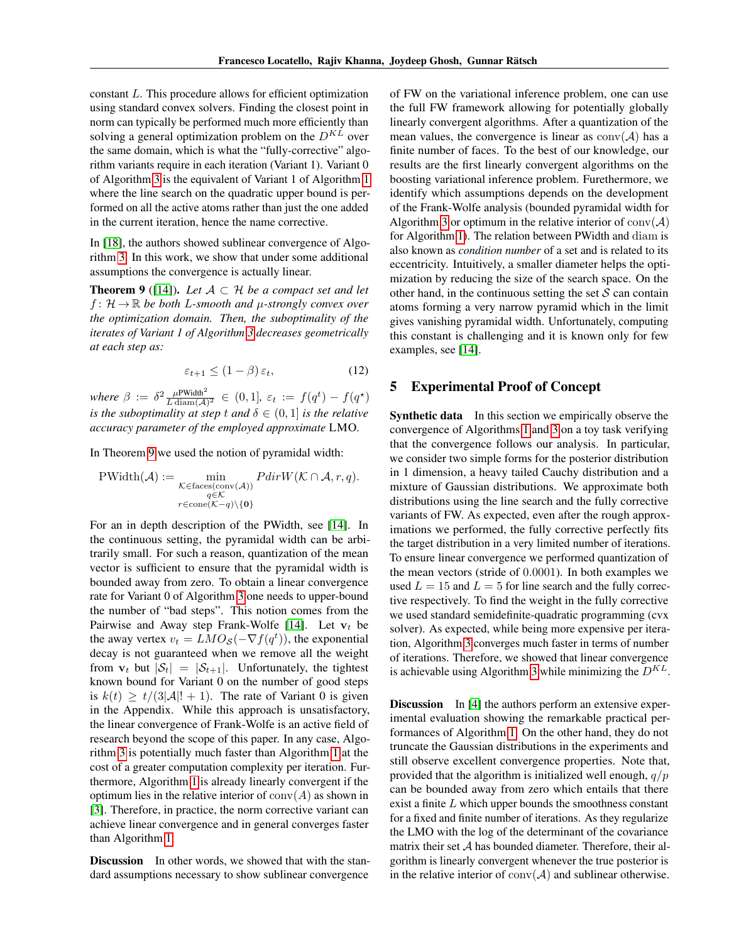constant L. This procedure allows for efficient optimization using standard convex solvers. Finding the closest point in norm can typically be performed much more efficiently than solving a general optimization problem on the  $D^{KL}$  over the same domain, which is what the "fully-corrective" algorithm variants require in each iteration (Variant 1). Variant 0 of Algorithm [3](#page-5-0) is the equivalent of Variant 1 of Algorithm [1](#page-3-0) where the line search on the quadratic upper bound is performed on all the active atoms rather than just the one added in the current iteration, hence the name corrective.

In [\[18\]](#page-8-19), the authors showed sublinear convergence of Algorithm [3.](#page-5-0) In this work, we show that under some additional assumptions the convergence is actually linear.

<span id="page-6-0"></span>**Theorem 9** ([\[14\]](#page-8-11)). Let  $A \subset \mathcal{H}$  be a compact set and let  $f: \mathcal{H} \to \mathbb{R}$  be both L-smooth and  $\mu$ -strongly convex over *the optimization domain. Then, the suboptimality of the iterates of Variant 1 of Algorithm [3](#page-5-0) decreases geometrically at each step as:*

$$
\varepsilon_{t+1} \le (1 - \beta) \, \varepsilon_t,\tag{12}
$$

*where*  $\beta := \delta^2 \frac{\mu^{\text{PWidth}^2}}{L \cdot \text{diam}(\mathcal{A})^2} \in (0,1], \, \varepsilon_t := f(q^t) - f(q^\star)$ *is the suboptimality at step t and*  $\delta \in (0, 1]$  *is the relative accuracy parameter of the employed approximate* LMO*.*

In Theorem [9](#page-6-0) we used the notion of pyramidal width:

$$
\text{PWidth}(\mathcal{A}) := \min_{\substack{\mathcal{K} \in \text{faces}(\text{conv}(\mathcal{A})) \\ q \in \mathcal{K} \\ r \in \text{cone}(\mathcal{K} - q) \setminus \{0\}}} PdirW(\mathcal{K} \cap \mathcal{A}, r, q).
$$

For an in depth description of the PWidth, see [\[14\]](#page-8-11). In the continuous setting, the pyramidal width can be arbitrarily small. For such a reason, quantization of the mean vector is sufficient to ensure that the pyramidal width is bounded away from zero. To obtain a linear convergence rate for Variant 0 of Algorithm [3](#page-5-0) one needs to upper-bound the number of "bad steps". This notion comes from the Pairwise and Away step Frank-Wolfe [\[14\]](#page-8-11). Let  $v_t$  be the away vertex  $v_t = LMO_{\mathcal{S}}(-\nabla f(q^t))$ , the exponential decay is not guaranteed when we remove all the weight from  $v_t$  but  $|\mathcal{S}_t| = |\mathcal{S}_{t+1}|$ . Unfortunately, the tightest known bound for Variant 0 on the number of good steps is  $k(t) \ge t/(3|\mathcal{A}|! + 1)$ . The rate of Variant 0 is given in the Appendix. While this approach is unsatisfactory, the linear convergence of Frank-Wolfe is an active field of research beyond the scope of this paper. In any case, Algorithm [3](#page-5-0) is potentially much faster than Algorithm [1](#page-3-0) at the cost of a greater computation complexity per iteration. Furthermore, Algorithm [1](#page-3-0) is already linearly convergent if the optimum lies in the relative interior of  $\text{conv}(A)$  as shown in [\[3\]](#page-8-20). Therefore, in practice, the norm corrective variant can achieve linear convergence and in general converges faster than Algorithm [1.](#page-3-0)

Discussion In other words, we showed that with the standard assumptions necessary to show sublinear convergence

of FW on the variational inference problem, one can use the full FW framework allowing for potentially globally linearly convergent algorithms. After a quantization of the mean values, the convergence is linear as  $conv(\mathcal{A})$  has a finite number of faces. To the best of our knowledge, our results are the first linearly convergent algorithms on the boosting variational inference problem. Furethermore, we identify which assumptions depends on the development of the Frank-Wolfe analysis (bounded pyramidal width for Algorithm [3](#page-5-0) or optimum in the relative interior of  $conv(\mathcal{A})$ for Algorithm [1\)](#page-3-0). The relation between PWidth and diam is also known as *condition number* of a set and is related to its eccentricity. Intuitively, a smaller diameter helps the optimization by reducing the size of the search space. On the other hand, in the continuous setting the set  $S$  can contain atoms forming a very narrow pyramid which in the limit gives vanishing pyramidal width. Unfortunately, computing this constant is challenging and it is known only for few examples, see [\[14\]](#page-8-11).

#### 5 Experimental Proof of Concept

**Synthetic data** In this section we empirically observe the convergence of Algorithms [1](#page-3-0) and [3](#page-5-0) on a toy task verifying that the convergence follows our analysis. In particular, we consider two simple forms for the posterior distribution in 1 dimension, a heavy tailed Cauchy distribution and a mixture of Gaussian distributions. We approximate both distributions using the line search and the fully corrective variants of FW. As expected, even after the rough approximations we performed, the fully corrective perfectly fits the target distribution in a very limited number of iterations. To ensure linear convergence we performed quantization of the mean vectors (stride of 0.0001). In both examples we used  $L = 15$  and  $L = 5$  for line search and the fully corrective respectively. To find the weight in the fully corrective we used standard semidefinite-quadratic programming (cvx solver). As expected, while being more expensive per iteration, Algorithm [3](#page-5-0) converges much faster in terms of number of iterations. Therefore, we showed that linear convergence is achievable using Algorithm [3](#page-5-0) while minimizing the  $D^{KL}$ .

**Discussion** In [\[4\]](#page-8-1) the authors perform an extensive experimental evaluation showing the remarkable practical performances of Algorithm [1.](#page-3-0) On the other hand, they do not truncate the Gaussian distributions in the experiments and still observe excellent convergence properties. Note that, provided that the algorithm is initialized well enough,  $q/p$ can be bounded away from zero which entails that there exist a finite  $L$  which upper bounds the smoothness constant for a fixed and finite number of iterations. As they regularize the LMO with the log of the determinant of the covariance matrix their set A has bounded diameter. Therefore, their algorithm is linearly convergent whenever the true posterior is in the relative interior of  $conv(\mathcal{A})$  and sublinear otherwise.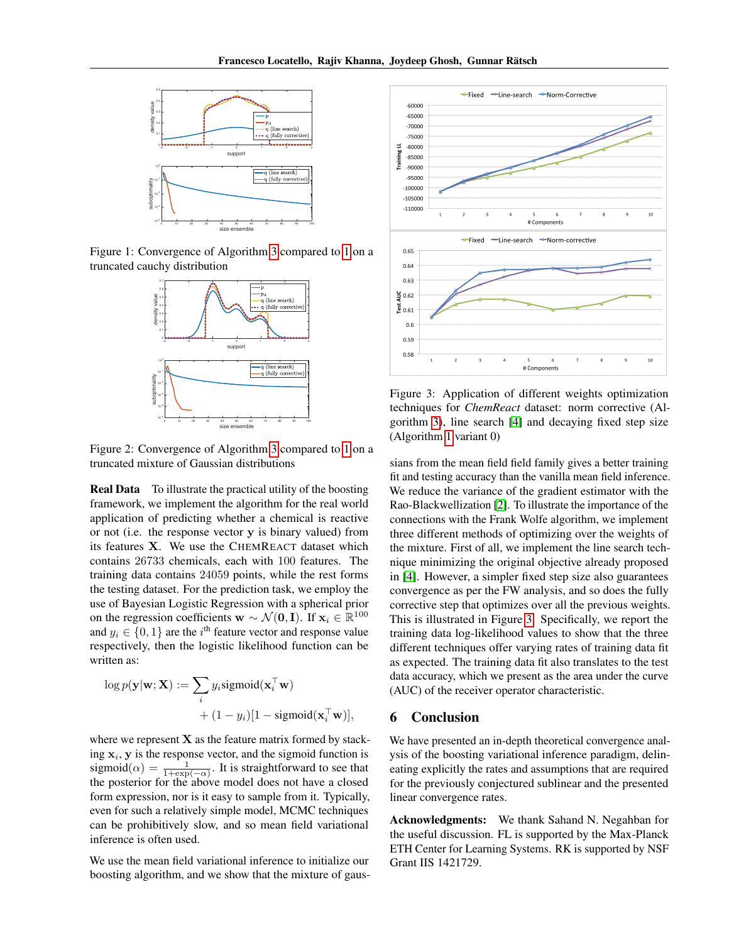

Figure 1: Convergence of Algorithm [3](#page-5-0) compared to [1](#page-3-0) on a truncated cauchy distribution



Figure 2: Convergence of Algorithm [3](#page-5-0) compared to [1](#page-3-0) on a truncated mixture of Gaussian distributions

Real Data To illustrate the practical utility of the boosting framework, we implement the algorithm for the real world application of predicting whether a chemical is reactive or not (i.e. the response vector y is binary valued) from its features X. We use the CHEMREACT dataset which contains 26733 chemicals, each with 100 features. The training data contains 24059 points, while the rest forms the testing dataset. For the prediction task, we employ the use of Bayesian Logistic Regression with a spherical prior on the regression coefficients  $\mathbf{w} \sim \mathcal{N}(\mathbf{0}, \mathbf{I})$ . If  $\mathbf{x}_i \in \mathbb{R}^{100}$ and  $y_i \in \{0, 1\}$  are the i<sup>th</sup> feature vector and response value respectively, then the logistic likelihood function can be written as:

$$
\log p(\mathbf{y}|\mathbf{w}; \mathbf{X}) := \sum_{i} y_i \text{sigmoid}(\mathbf{x}_i^{\top} \mathbf{w}) + (1 - y_i)[1 - \text{sigmoid}(\mathbf{x}_i^{\top} \mathbf{w})],
$$

where we represent  $X$  as the feature matrix formed by stacking  $x_i$ , y is the response vector, and the sigmoid function is sigmoid $(\alpha) = \frac{1}{1 + \exp(-\alpha)}$ . It is straightforward to see that the posterior for the above model does not have a closed form expression, nor is it easy to sample from it. Typically, even for such a relatively simple model, MCMC techniques can be prohibitively slow, and so mean field variational inference is often used.

We use the mean field variational inference to initialize our boosting algorithm, and we show that the mixture of gaus-

<span id="page-7-0"></span>

Figure 3: Application of different weights optimization techniques for *ChemReact* dataset: norm corrective (Algorithm [3\)](#page-5-0), line search [\[4\]](#page-8-1) and decaying fixed step size (Algorithm [1](#page-3-0) variant 0)

sians from the mean field field family gives a better training fit and testing accuracy than the vanilla mean field inference. We reduce the variance of the gradient estimator with the Rao-Blackwellization [\[2\]](#page-8-24). To illustrate the importance of the connections with the Frank Wolfe algorithm, we implement three different methods of optimizing over the weights of the mixture. First of all, we implement the line search technique minimizing the original objective already proposed in [\[4\]](#page-8-1). However, a simpler fixed step size also guarantees convergence as per the FW analysis, and so does the fully corrective step that optimizes over all the previous weights. This is illustrated in Figure [3.](#page-7-0) Specifically, we report the training data log-likelihood values to show that the three different techniques offer varying rates of training data fit as expected. The training data fit also translates to the test data accuracy, which we present as the area under the curve (AUC) of the receiver operator characteristic.

### 6 Conclusion

We have presented an in-depth theoretical convergence analysis of the boosting variational inference paradigm, delineating explicitly the rates and assumptions that are required for the previously conjectured sublinear and the presented linear convergence rates.

Acknowledgments: We thank Sahand N. Negahban for the useful discussion. FL is supported by the Max-Planck ETH Center for Learning Systems. RK is supported by NSF Grant IIS 1421729.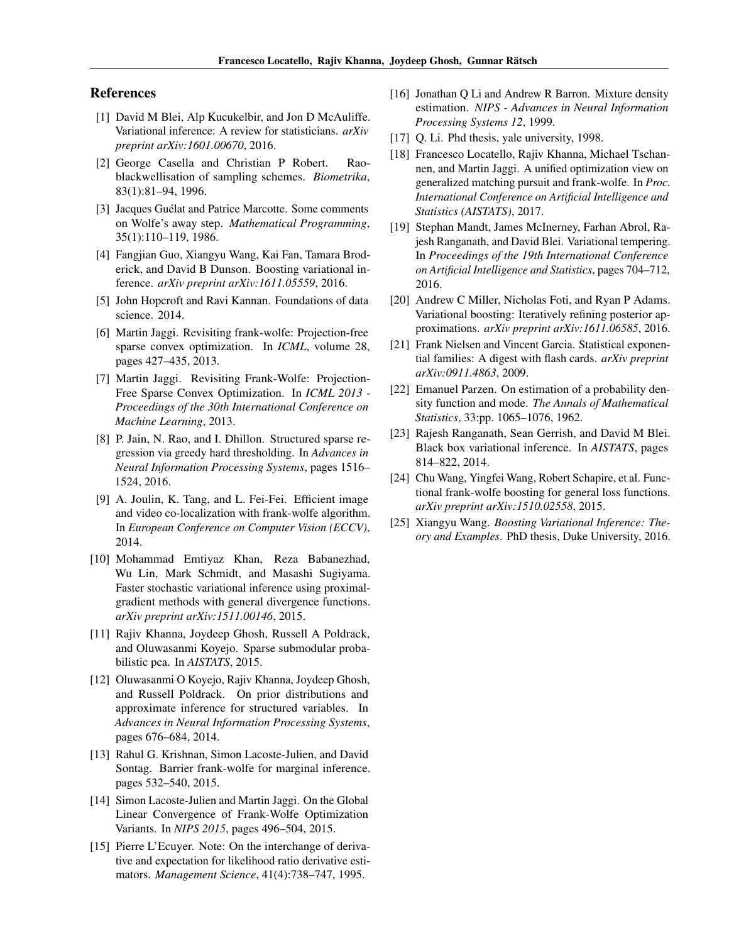#### References

- <span id="page-8-2"></span>[1] David M Blei, Alp Kucukelbir, and Jon D McAuliffe. Variational inference: A review for statisticians. *arXiv preprint arXiv:1601.00670*, 2016.
- <span id="page-8-24"></span>[2] George Casella and Christian P Robert. Raoblackwellisation of sampling schemes. *Biometrika*, 83(1):81–94, 1996.
- <span id="page-8-20"></span>[3] Jacques Guélat and Patrice Marcotte. Some comments on Wolfe's away step. *Mathematical Programming*, 35(1):110–119, 1986.
- <span id="page-8-1"></span>[4] Fangjian Guo, Xiangyu Wang, Kai Fan, Tamara Broderick, and David B Dunson. Boosting variational inference. *arXiv preprint arXiv:1611.05559*, 2016.
- <span id="page-8-21"></span>[5] John Hopcroft and Ravi Kannan. Foundations of data science. 2014.
- <span id="page-8-7"></span>[6] Martin Jaggi. Revisiting frank-wolfe: Projection-free sparse convex optimization. In *ICML*, volume 28, pages 427–435, 2013.
- <span id="page-8-8"></span>[7] Martin Jaggi. Revisiting Frank-Wolfe: Projection-Free Sparse Convex Optimization. In *ICML 2013 - Proceedings of the 30th International Conference on Machine Learning*, 2013.
- <span id="page-8-13"></span>[8] P. Jain, N. Rao, and I. Dhillon. Structured sparse regression via greedy hard thresholding. In *Advances in Neural Information Processing Systems*, pages 1516– 1524, 2016.
- <span id="page-8-12"></span>[9] A. Joulin, K. Tang, and L. Fei-Fei. Efficient image and video co-localization with frank-wolfe algorithm. In *European Conference on Computer Vision (ECCV)*, 2014.
- <span id="page-8-9"></span>[10] Mohammad Emtiyaz Khan, Reza Babanezhad, Wu Lin, Mark Schmidt, and Masashi Sugiyama. Faster stochastic variational inference using proximalgradient methods with general divergence functions. *arXiv preprint arXiv:1511.00146*, 2015.
- <span id="page-8-17"></span>[11] Rajiv Khanna, Joydeep Ghosh, Russell A Poldrack, and Oluwasanmi Koyejo. Sparse submodular probabilistic pca. In *AISTATS*, 2015.
- <span id="page-8-16"></span>[12] Oluwasanmi O Koyejo, Rajiv Khanna, Joydeep Ghosh, and Russell Poldrack. On prior distributions and approximate inference for structured variables. In *Advances in Neural Information Processing Systems*, pages 676–684, 2014.
- <span id="page-8-14"></span>[13] Rahul G. Krishnan, Simon Lacoste-Julien, and David Sontag. Barrier frank-wolfe for marginal inference. pages 532–540, 2015.
- <span id="page-8-11"></span>[14] Simon Lacoste-Julien and Martin Jaggi. On the Global Linear Convergence of Frank-Wolfe Optimization Variants. In *NIPS 2015*, pages 496–504, 2015.
- <span id="page-8-23"></span>[15] Pierre L'Ecuyer. Note: On the interchange of derivative and expectation for likelihood ratio derivative estimators. *Management Science*, 41(4):738–747, 1995.
- <span id="page-8-4"></span>[16] Jonathan Q Li and Andrew R Barron. Mixture density estimation. *NIPS - Advances in Neural Information Processing Systems 12*, 1999.
- <span id="page-8-5"></span>[17] Q. Li. Phd thesis, yale university, 1998.
- <span id="page-8-19"></span>[18] Francesco Locatello, Rajiv Khanna, Michael Tschannen, and Martin Jaggi. A unified optimization view on generalized matching pursuit and frank-wolfe. In *Proc. International Conference on Artificial Intelligence and Statistics (AISTATS)*, 2017.
- <span id="page-8-6"></span>[19] Stephan Mandt, James McInerney, Farhan Abrol, Rajesh Ranganath, and David Blei. Variational tempering. In *Proceedings of the 19th International Conference on Artificial Intelligence and Statistics*, pages 704–712, 2016.
- <span id="page-8-0"></span>[20] Andrew C Miller, Nicholas Foti, and Ryan P Adams. Variational boosting: Iteratively refining posterior approximations. *arXiv preprint arXiv:1611.06585*, 2016.
- <span id="page-8-10"></span>[21] Frank Nielsen and Vincent Garcia. Statistical exponential families: A digest with flash cards. *arXiv preprint arXiv:0911.4863*, 2009.
- <span id="page-8-3"></span>[22] Emanuel Parzen. On estimation of a probability density function and mode. *The Annals of Mathematical Statistics*, 33:pp. 1065–1076, 1962.
- <span id="page-8-22"></span>[23] Rajesh Ranganath, Sean Gerrish, and David M Blei. Black box variational inference. In *AISTATS*, pages 814–822, 2014.
- <span id="page-8-18"></span>[24] Chu Wang, Yingfei Wang, Robert Schapire, et al. Functional frank-wolfe boosting for general loss functions. *arXiv preprint arXiv:1510.02558*, 2015.
- <span id="page-8-15"></span>[25] Xiangyu Wang. *Boosting Variational Inference: Theory and Examples*. PhD thesis, Duke University, 2016.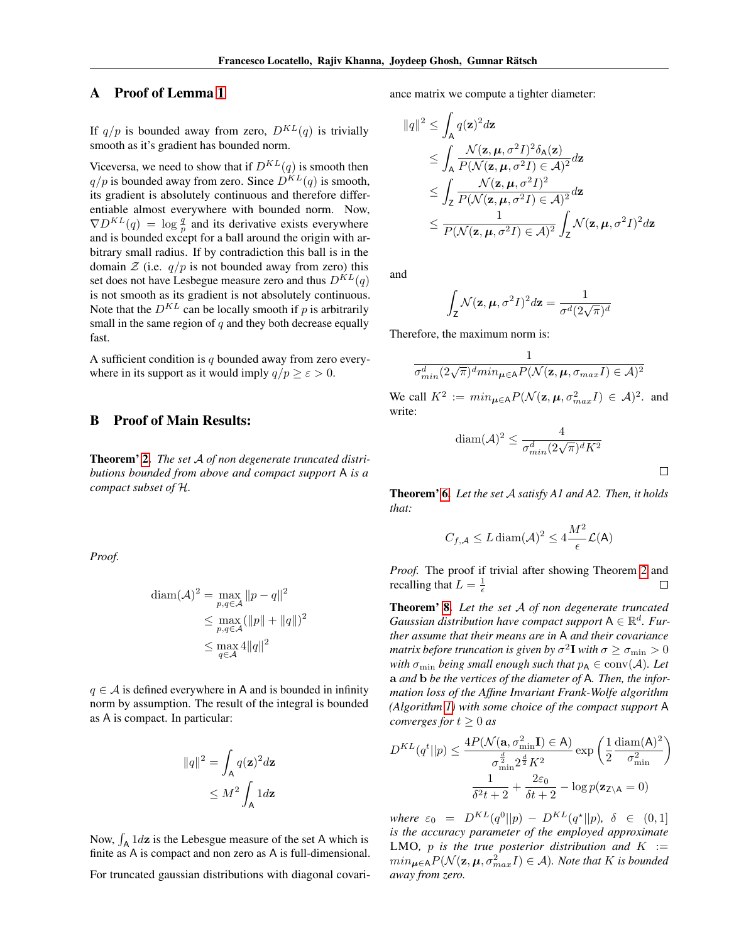## A Proof of Lemma [1](#page-2-1)

If  $q/p$  is bounded away from zero,  $D^{KL}(q)$  is trivially smooth as it's gradient has bounded norm.

Viceversa, we need to show that if  $D^{KL}(q)$  is smooth then  $q/p$  is bounded away from zero. Since  $\overline{D}^{KL}(q)$  is smooth, its gradient is absolutely continuous and therefore differentiable almost everywhere with bounded norm. Now,  $\nabla D^{KL}(q) = \log \frac{q}{p}$  and its derivative exists everywhere and is bounded except for a ball around the origin with arbitrary small radius. If by contradiction this ball is in the domain  $\mathcal Z$  (i.e.  $q/p$  is not bounded away from zero) this set does not have Lesbegue measure zero and thus  $D^{KL}(q)$ is not smooth as its gradient is not absolutely continuous. Note that the  $D^{KL}$  can be locally smooth if p is arbitrarily small in the same region of  $q$  and they both decrease equally fast.

A sufficient condition is  $q$  bounded away from zero everywhere in its support as it would imply  $q/p \geq \varepsilon > 0$ .

#### <span id="page-9-0"></span>B Proof of Main Results:

Theorem' [2.](#page-3-2) *The set* A *of non degenerate truncated distributions bounded from above and compact support* A *is a compact subset of* H*.*

*Proof.*

$$
\begin{aligned} \text{diam}(\mathcal{A})^2 &= \max_{p,q \in \mathcal{A}} \|p - q\|^2 \\ &\le \max_{p,q \in \mathcal{A}} (\|p\| + \|q\|)^2 \\ &\le \max_{q \in \mathcal{A}} 4\|q\|^2 \end{aligned}
$$

 $q \in A$  is defined everywhere in A and is bounded in infinity norm by assumption. The result of the integral is bounded as A is compact. In particular:

$$
||q||^2 = \int_{A} q(\mathbf{z})^2 d\mathbf{z}
$$

$$
\leq M^2 \int_{A} 1 d\mathbf{z}
$$

Now,  $\int_A 1 \, dz$  is the Lebesgue measure of the set A which is finite as A is compact and non zero as A is full-dimensional.

For truncated gaussian distributions with diagonal covari-

ance matrix we compute a tighter diameter:

$$
\|q\|^2 \leq \int_A q(\mathbf{z})^2 d\mathbf{z}
$$
  
\n
$$
\leq \int_A \frac{\mathcal{N}(\mathbf{z}, \boldsymbol{\mu}, \sigma^2 I)^2 \delta_A(\mathbf{z})}{P(\mathcal{N}(\mathbf{z}, \boldsymbol{\mu}, \sigma^2 I) \in \mathcal{A})^2} d\mathbf{z}
$$
  
\n
$$
\leq \int_{\mathbf{Z}} \frac{\mathcal{N}(\mathbf{z}, \boldsymbol{\mu}, \sigma^2 I)^2}{P(\mathcal{N}(\mathbf{z}, \boldsymbol{\mu}, \sigma^2 I) \in \mathcal{A})^2} d\mathbf{z}
$$
  
\n
$$
\leq \frac{1}{P(\mathcal{N}(\mathbf{z}, \boldsymbol{\mu}, \sigma^2 I) \in \mathcal{A})^2} \int_{\mathbf{Z}} \mathcal{N}(\mathbf{z}, \boldsymbol{\mu}, \sigma^2 I)^2 d\mathbf{z}
$$

and

$$
\int_{Z} \mathcal{N}(\mathbf{z}, \boldsymbol{\mu}, \sigma^2 I)^2 d\mathbf{z} = \frac{1}{\sigma^d (2\sqrt{\pi})^d}
$$

Therefore, the maximum norm is:

Z

$$
\frac{1}{\sigma_{min}^d (2\sqrt{\pi})^d min_{\mu \in A} P(\mathcal{N}(\mathbf{z}, \mu, \sigma_{max} I) \in \mathcal{A})^2}
$$

We call  $K^2 := min_{\mu \in A} P(\mathcal{N}(\mathbf{z}, \mu, \sigma_{max}^2 I) \in \mathcal{A})^2$ . and write:

$$
\text{diam}(\mathcal{A})^2 \le \frac{4}{\sigma_{min}^d (2\sqrt{\pi})^d K^2}
$$

 $\Box$ 

Theorem' [6.](#page-4-1) *Let the set* A *satisfy A1 and A2. Then, it holds that:*

$$
C_{f,\mathcal{A}} \le L \operatorname{diam}(\mathcal{A})^2 \le 4 \frac{M^2}{\epsilon} \mathcal{L}(\mathsf{A})
$$

*Proof.* The proof if trivial after showing Theorem [2](#page-3-2) and recalling that  $L = \frac{1}{\epsilon}$  $\Box$ 

Theorem' [8.](#page-4-2) *Let the set* A *of non degenerate truncated Gaussian distribution have compact support*  $A \in \mathbb{R}^d$ . Fur*ther assume that their means are in* A *and their covariance* matrix before truncation is given by  $\sigma^2\mathbf{I}$  with  $\sigma\geq\sigma_{\min}>0$ *with*  $\sigma_{\min}$  *being small enough such that*  $p_A \in \text{conv}(\mathcal{A})$ *. Let* a *and* b *be the vertices of the diameter of* A*. Then, the information loss of the Affine Invariant Frank-Wolfe algorithm (Algorithm [1\)](#page-3-0) with some choice of the compact support* A *converges for*  $t \geq 0$  *as* 

$$
D^{KL}(q^t||p) \le \frac{4P(\mathcal{N}(\mathbf{a}, \sigma_{\min}^2 \mathbf{I}) \in \mathbf{A})}{\sigma_{\min}^{\frac{d}{2}} 2^{\frac{d}{2}} K^2} \exp\left(\frac{1}{2} \frac{\text{diam}(\mathbf{A})^2}{\sigma_{\min}^2}\right)
$$

$$
\frac{1}{\delta^2 t + 2} + \frac{2\varepsilon_0}{\delta t + 2} - \log p(\mathbf{z}_{\mathsf{Z} \setminus \mathbf{A}} = 0)
$$

*where*  $\varepsilon_0 = D^{KL}(q^0||p) - D^{KL}(q^*||p)$ ,  $\delta \in (0,1]$ *is the accuracy parameter of the employed approximate* LMO, p is the true posterior distribution and  $K :=$  $min_{\boldsymbol{\mu} \in A} P(\mathcal{N}(\mathbf{z}, \boldsymbol{\mu}, \sigma_{max}^2 I) \in \mathcal{A})$ *. Note that* K is bounded *away from zero.*